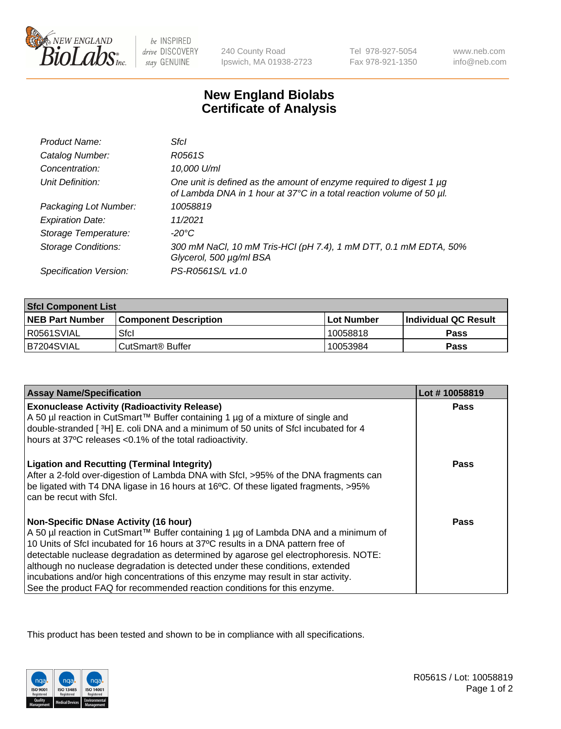

 $be$  INSPIRED drive DISCOVERY stay GENUINE

240 County Road Ipswich, MA 01938-2723 Tel 978-927-5054 Fax 978-921-1350

www.neb.com info@neb.com

## **New England Biolabs Certificate of Analysis**

| Product Name:              | Sfcl                                                                                                                                             |
|----------------------------|--------------------------------------------------------------------------------------------------------------------------------------------------|
| Catalog Number:            | R0561S                                                                                                                                           |
| Concentration:             | 10,000 U/ml                                                                                                                                      |
| Unit Definition:           | One unit is defined as the amount of enzyme required to digest 1 $\mu$ g<br>of Lambda DNA in 1 hour at 37°C in a total reaction volume of 50 µl. |
| Packaging Lot Number:      | 10058819                                                                                                                                         |
| <b>Expiration Date:</b>    | 11/2021                                                                                                                                          |
| Storage Temperature:       | $-20^{\circ}$ C                                                                                                                                  |
| <b>Storage Conditions:</b> | 300 mM NaCl, 10 mM Tris-HCl (pH 7.4), 1 mM DTT, 0.1 mM EDTA, 50%<br>Glycerol, 500 µg/ml BSA                                                      |
| Specification Version:     | PS-R0561S/L v1.0                                                                                                                                 |

| <b>Sfcl Component List</b> |                              |              |                             |  |
|----------------------------|------------------------------|--------------|-----------------------------|--|
| <b>NEB Part Number</b>     | <b>Component Description</b> | l Lot Number | <b>Individual QC Result</b> |  |
| I R0561SVIAL               | Sfcl                         | 10058818     | Pass                        |  |
| B7204SVIAL                 | l CutSmart® Buffer           | 10053984     | Pass                        |  |

| <b>Assay Name/Specification</b>                                                                                                                                                                                                   | Lot #10058819 |
|-----------------------------------------------------------------------------------------------------------------------------------------------------------------------------------------------------------------------------------|---------------|
| <b>Exonuclease Activity (Radioactivity Release)</b>                                                                                                                                                                               | Pass          |
| A 50 µl reaction in CutSmart™ Buffer containing 1 µg of a mixture of single and                                                                                                                                                   |               |
| double-stranded [3H] E. coli DNA and a minimum of 50 units of Sfcl incubated for 4<br>hours at 37°C releases < 0.1% of the total radioactivity.                                                                                   |               |
|                                                                                                                                                                                                                                   |               |
| <b>Ligation and Recutting (Terminal Integrity)</b><br>After a 2-fold over-digestion of Lambda DNA with Sfcl, >95% of the DNA fragments can<br>be ligated with T4 DNA ligase in 16 hours at 16°C. Of these ligated fragments, >95% | Pass          |
| can be recut with Sfcl.                                                                                                                                                                                                           |               |
| <b>Non-Specific DNase Activity (16 hour)</b>                                                                                                                                                                                      | Pass          |
| A 50 µl reaction in CutSmart™ Buffer containing 1 µg of Lambda DNA and a minimum of                                                                                                                                               |               |
| 10 Units of SfcI incubated for 16 hours at 37°C results in a DNA pattern free of                                                                                                                                                  |               |
| detectable nuclease degradation as determined by agarose gel electrophoresis. NOTE:                                                                                                                                               |               |
| although no nuclease degradation is detected under these conditions, extended                                                                                                                                                     |               |
| incubations and/or high concentrations of this enzyme may result in star activity.                                                                                                                                                |               |
| See the product FAQ for recommended reaction conditions for this enzyme.                                                                                                                                                          |               |

This product has been tested and shown to be in compliance with all specifications.